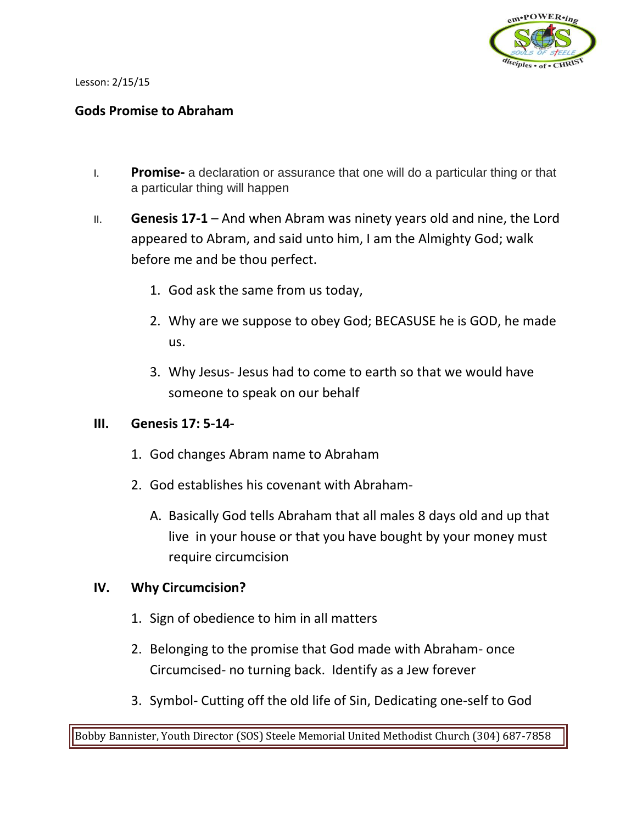

Lesson: 2/15/15

### **Gods Promise to Abraham**

- I. **Promise-** a declaration or assurance that one will do a particular thing or that a particular thing will happen
- II. **Genesis 17-1**  And when Abram was ninety years old and nine, the Lord appeared to Abram, and said unto him, I am the Almighty God; walk before me and be thou perfect.
	- 1. God ask the same from us today,
	- 2. Why are we suppose to obey God; BECASUSE he is GOD, he made us.
	- 3. Why Jesus- Jesus had to come to earth so that we would have someone to speak on our behalf

#### **III. Genesis 17: 5-14-**

- 1. God changes Abram name to Abraham
- 2. God establishes his covenant with Abraham-
	- A. Basically God tells Abraham that all males 8 days old and up that live in your house or that you have bought by your money must require circumcision

### **IV. Why Circumcision?**

- 1. Sign of obedience to him in all matters
- 2. Belonging to the promise that God made with Abraham- once Circumcised- no turning back. Identify as a Jew forever
- 3. Symbol- Cutting off the old life of Sin, Dedicating one-self to God

Bobby Bannister, Youth Director (SOS) Steele Memorial United Methodist Church (304) 687-7858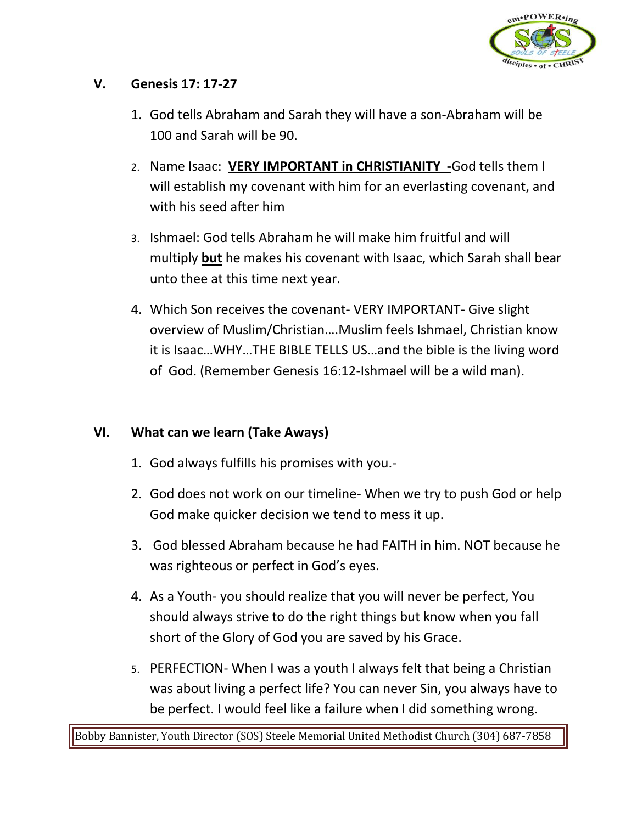

## **V. Genesis 17: 17-27**

- 1. God tells Abraham and Sarah they will have a son-Abraham will be 100 and Sarah will be 90.
- 2. Name Isaac: **VERY IMPORTANT in CHRISTIANITY -**God tells them I will establish my covenant with him for an everlasting covenant, and with his seed after him
- 3. Ishmael: God tells Abraham he will make him fruitful and will multiply **but** he makes his covenant with Isaac, which Sarah shall bear unto thee at this time next year.
- 4. Which Son receives the covenant- VERY IMPORTANT- Give slight overview of Muslim/Christian….Muslim feels Ishmael, Christian know it is Isaac…WHY…THE BIBLE TELLS US…and the bible is the living word of God. (Remember Genesis 16:12-Ishmael will be a wild man).

# **VI. What can we learn (Take Aways)**

- 1. God always fulfills his promises with you.-
- 2. God does not work on our timeline- When we try to push God or help God make quicker decision we tend to mess it up.
- 3. God blessed Abraham because he had FAITH in him. NOT because he was righteous or perfect in God's eyes.
- 4. As a Youth- you should realize that you will never be perfect, You should always strive to do the right things but know when you fall short of the Glory of God you are saved by his Grace.
- 5. PERFECTION- When I was a youth I always felt that being a Christian was about living a perfect life? You can never Sin, you always have to be perfect. I would feel like a failure when I did something wrong.

Bobby Bannister, Youth Director (SOS) Steele Memorial United Methodist Church (304) 687-7858